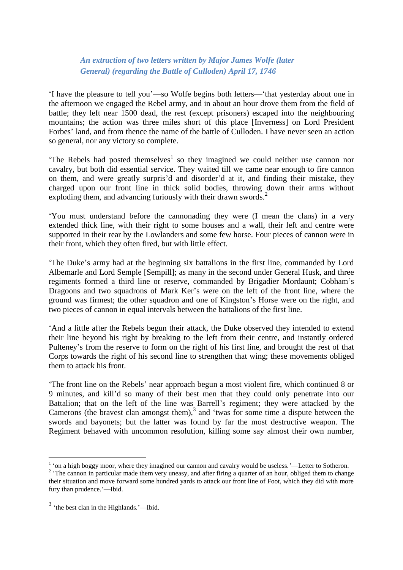*An extraction of two letters written by Major James Wolfe (later General) (regarding the Battle of Culloden) April 17, 1746*

'I have the pleasure to tell you'—so Wolfe begins both letters—'that yesterday about one in the afternoon we engaged the Rebel army, and in about an hour drove them from the field of battle; they left near 1500 dead, the rest (except prisoners) escaped into the neighbouring mountains; the action was three miles short of this place [Inverness] on Lord President Forbes' land, and from thence the name of the battle of Culloden. I have never seen an action so general, nor any victory so complete.

'The Rebels had posted themselves<sup>1</sup> so they imagined we could neither use cannon nor cavalry, but both did essential service. They waited till we came near enough to fire cannon on them, and were greatly surpris'd and disorder'd at it, and finding their mistake, they charged upon our front line in thick solid bodies, throwing down their arms without exploding them, and advancing furiously with their drawn swords.<sup>2</sup>

'You must understand before the cannonading they were (I mean the clans) in a very extended thick line, with their right to some houses and a wall, their left and centre were supported in their rear by the Lowlanders and some few horse. Four pieces of cannon were in their front, which they often fired, but with little effect.

'The Duke's army had at the beginning six battalions in the first line, commanded by Lord Albemarle and Lord Semple [Sempill]; as many in the second under General Husk, and three regiments formed a third line or reserve, commanded by Brigadier Mordaunt; Cobham's Dragoons and two squadrons of Mark Ker's were on the left of the front line, where the ground was firmest; the other squadron and one of Kingston's Horse were on the right, and two pieces of cannon in equal intervals between the battalions of the first line.

'And a little after the Rebels begun their attack, the Duke observed they intended to extend their line beyond his right by breaking to the left from their centre, and instantly ordered Pulteney's from the reserve to form on the right of his first line, and brought the rest of that Corps towards the right of his second line to strengthen that wing; these movements obliged them to attack his front.

'The front line on the Rebels' near approach begun a most violent fire, which continued 8 or 9 minutes, and kill'd so many of their best men that they could only penetrate into our Battalion; that on the left of the line was Barrell's regiment; they were attacked by the Camerons (the bravest clan amongst them), $3$  and 'twas for some time a dispute between the swords and bayonets; but the latter was found by far the most destructive weapon. The Regiment behaved with uncommon resolution, killing some say almost their own number,

<u>.</u>

<sup>&</sup>lt;sup>1</sup> 'on a high boggy moor, where they imagined our cannon and cavalry would be useless.'—Letter to Sotheron.

<sup>&</sup>lt;sup>2</sup> The cannon in particular made them very uneasy, and after firing a quarter of an hour, obliged them to change their situation and move forward some hundred yards to attack our front line of Foot, which they did with more fury than prudence.'—Ibid.

<sup>&</sup>lt;sup>3</sup> 'the best clan in the Highlands.'—Ibid.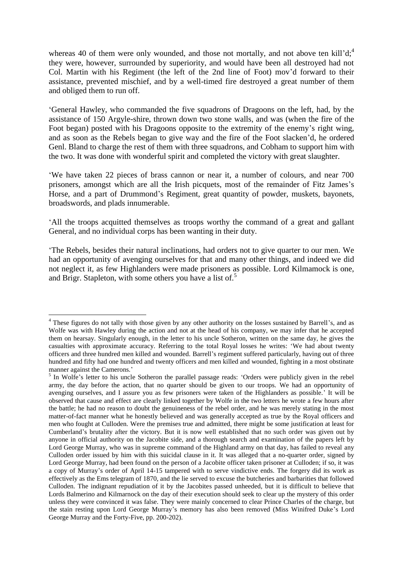whereas 40 of them were only wounded, and those not mortally, and not above ten kill' $d;$ <sup>4</sup> they were, however, surrounded by superiority, and would have been all destroyed had not Col. Martin with his Regiment (the left of the 2nd line of Foot) mov'd forward to their assistance, prevented mischief, and by a well-timed fire destroyed a great number of them and obliged them to run off.

'General Hawley, who commanded the five squadrons of Dragoons on the left, had, by the assistance of 150 Argyle-shire, thrown down two stone walls, and was (when the fire of the Foot began) posted with his Dragoons opposite to the extremity of the enemy's right wing, and as soon as the Rebels began to give way and the fire of the Foot slacken'd, he ordered Genl. Bland to charge the rest of them with three squadrons, and Cobham to support him with the two. It was done with wonderful spirit and completed the victory with great slaughter.

'We have taken 22 pieces of brass cannon or near it, a number of colours, and near 700 prisoners, amongst which are all the Irish picquets, most of the remainder of Fitz James's Horse, and a part of Drummond's Regiment, great quantity of powder, muskets, bayonets, broadswords, and plads innumerable.

'All the troops acquitted themselves as troops worthy the command of a great and gallant General, and no individual corps has been wanting in their duty.

'The Rebels, besides their natural inclinations, had orders not to give quarter to our men. We had an opportunity of avenging ourselves for that and many other things, and indeed we did not neglect it, as few Highlanders were made prisoners as possible. Lord Kilmamock is one, and Brigr. Stapleton, with some others you have a list of.<sup>5</sup>

<sup>1</sup> <sup>4</sup> These figures do not tally with those given by any other authority on the losses sustained by Barrell's, and as Wolfe was with Hawley during the action and not at the head of his company, we may infer that he accepted them on hearsay. Singularly enough, in the letter to his uncle Sotheron, written on the same day, he gives the casualties with approximate accuracy. Referring to the total Royal losses he writes: 'We had about twenty officers and three hundred men killed and wounded. Barrell's regiment suffered particularly, having out of three hundred and fifty had one hundred and twenty officers and men killed and wounded, fighting in a most obstinate manner against the Camerons.'

<sup>&</sup>lt;sup>5</sup> In Wolfe's letter to his uncle Sotheron the parallel passage reads: 'Orders were publicly given in the rebel army, the day before the action, that no quarter should be given to our troops. We had an opportunity of avenging ourselves, and I assure you as few prisoners were taken of the Highlanders as possible.' It will be observed that cause and effect are clearly linked together by Wolfe in the two letters he wrote a few hours after the battle; he had no reason to doubt the genuineness of the rebel order, and he was merely stating in the most matter-of-fact manner what he honestly believed and was generally accepted as true by the Royal officers and men who fought at Culloden. Were the premises true and admitted, there might be some justification at least for Cumberland's brutality after the victory. But it is now well established that no such order was given out by anyone in official authority on the Jacobite side, and a thorough search and examination of the papers left by Lord George Murray, who was in supreme command of the Highland army on that day, has failed to reveal any Culloden order issued by him with this suicidal clause in it. It was alleged that a no-quarter order, signed by Lord George Murray, had been found on the person of a Jacobite officer taken prisoner at Culloden; if so, it was a copy of Murray's order of April 14-15 tampered with to serve vindictive ends. The forgery did its work as effectively as the Ems telegram of 1870, and the lie served to excuse the butcheries and barbarities that followed Culloden. The indignant repudiation of it by the Jacobites passed unheeded, but it is difficult to believe that Lords Balmerino and Kilmarnock on the day of their execution should seek to clear up the mystery of this order unless they were convinced it was false. They were mainly concerned to clear Prince Charles of the charge, but the stain resting upon Lord George Murray's memory has also been removed (Miss Winifred Duke's Lord George Murray and the Forty-Five, pp. 200-202).